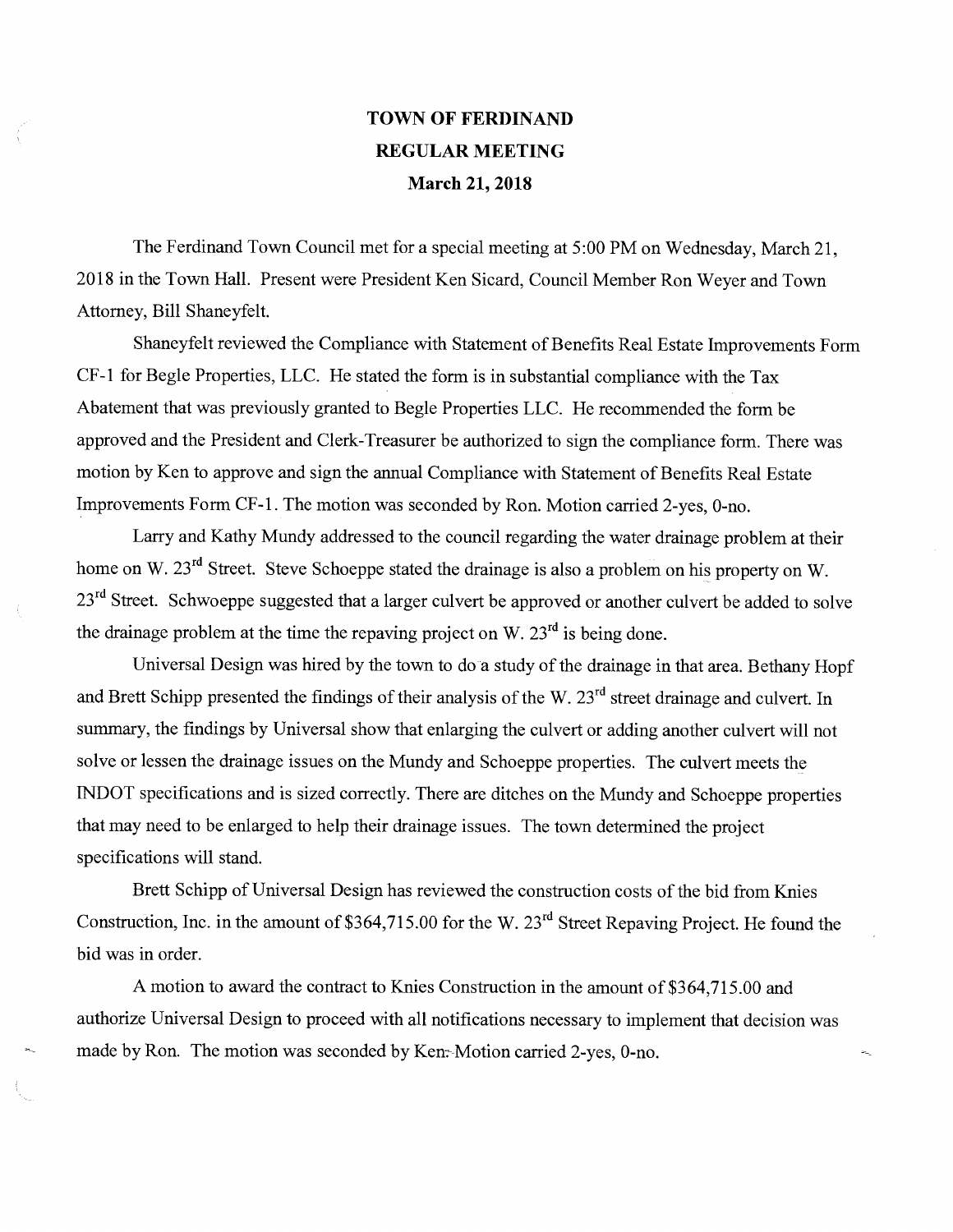## TOWN OF FERDINAND REGULAR MEETING March 21, 2018

The Ferdinand Town Council met for a special meeting at 5:00 PM on Wednesday, March 21, 2018 in the Town Hall. Present were President Ken Sicard, Council Member Ron Weyer and Town Attorney, Bill Shaneyfelt.

Shaneyfelt reviewed the Compliance with Statement of Benefits Real Estate Improvements Form CF-1 for Begle Properties, LLC. He stated the form is in substantial compliance with the Tax Abatement that was previously granted to Begle Properties LLC. He recommended the form be approved and the President and Clerk-Treasurer be authorized to sign the compliance form. There was motion by Ken to approve and sign the annual Compliance with Statement of Benefits Real Estate Improvements Form CF-1. The motion was seconded by Ron. Motion carried 2-yes, 0-no.

Larry and Kathy Mundy addressed to the council regarding the water drainage problem at their home on W. 23<sup>rd</sup> Street. Steve Schoeppe stated the drainage is also a problem on his property on W. 23<sup>rd</sup> Street. Schwoeppe suggested that a larger culvert be approved or another culvert be added to solve the drainage problem at the time the repaving project on W.  $23<sup>rd</sup>$  is being done.

Universal Design was hired by the town to do a study of the drainage in that area. Bethany Hopf and Brett Schipp presented the findings of their analysis of the W.  $23<sup>rd</sup>$  street drainage and culvert. In summary, the findings by Universal show that enlarging the culvert or adding another culvert will not solve or lessen the drainage issues on the Mundy and Schoeppe properties. The culvert meets the INDOT specifications and is sized correctly. There are ditches on the Mundy and Schoeppe properties that may need to be enlarged to help their drainage issues. The town determined the project specifications will stand.

Brett Schipp of Universal Design has reviewed the construction costs of the bid from Knies Construction, Inc. in the amount of \$364,715.00 for the W. 23<sup>rd</sup> Street Repaving Project. He found the bid was in order.

A motion to award the contract to Knies Construction in the amount of \$364,715.00 and authorize Universal Design to proceed with all notifications necessary to implement that decision was made by Ron. The motion was seconded by Ken: Motion carried 2-yes, 0-no.